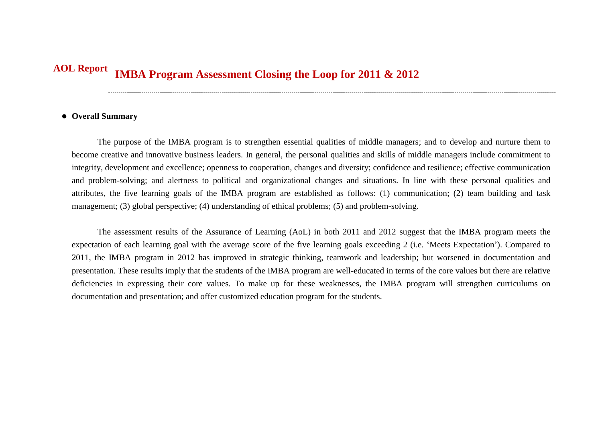## **IMBA Program Assessment Closing the Loop for 2011 & 2012 AOL Report**

## **Overall Summary**

The purpose of the IMBA program is to strengthen essential qualities of middle managers; and to develop and nurture them to become creative and innovative business leaders. In general, the personal qualities and skills of middle managers include commitment to integrity, development and excellence; openness to cooperation, changes and diversity; confidence and resilience; effective communication and problem-solving; and alertness to political and organizational changes and situations. In line with these personal qualities and attributes, the five learning goals of the IMBA program are established as follows: (1) communication; (2) team building and task management; (3) global perspective; (4) understanding of ethical problems; (5) and problem-solving.

The assessment results of the Assurance of Learning (AoL) in both 2011 and 2012 suggest that the IMBA program meets the expectation of each learning goal with the average score of the five learning goals exceeding 2 (i.e. 'Meets Expectation'). Compared to 2011, the IMBA program in 2012 has improved in strategic thinking, teamwork and leadership; but worsened in documentation and presentation. These results imply that the students of the IMBA program are well-educated in terms of the core values but there are relative deficiencies in expressing their core values. To make up for these weaknesses, the IMBA program will strengthen curriculums on documentation and presentation; and offer customized education program for the students.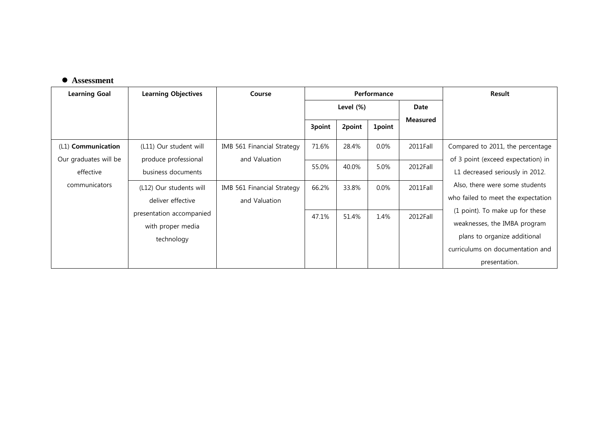## **Assessment**

| <b>Learning Goal</b>  | <b>Learning Objectives</b> | Course                     | Performance |        |               |                 | Result                             |
|-----------------------|----------------------------|----------------------------|-------------|--------|---------------|-----------------|------------------------------------|
|                       |                            |                            | Level (%)   |        |               | Date            |                                    |
|                       |                            |                            | 3point      | 2point | <b>1point</b> | <b>Measured</b> |                                    |
|                       |                            |                            |             |        |               |                 |                                    |
| (L1) Communication    | (L11) Our student will     | IMB 561 Financial Strategy | 71.6%       | 28.4%  | $0.0\%$       | 2011Fall        | Compared to 2011, the percentage   |
| Our graduates will be | produce professional       | and Valuation              |             |        |               |                 | of 3 point (exceed expectation) in |
| effective             | business documents         |                            | 55.0%       | 40.0%  | 5.0%          | 2012Fall        | L1 decreased seriously in 2012.    |
| communicators         | (L12) Our students will    | IMB 561 Financial Strategy | 66.2%       | 33.8%  | $0.0\%$       | 2011Fall        | Also, there were some students     |
|                       | deliver effective          | and Valuation              |             |        |               |                 | who failed to meet the expectation |
|                       | presentation accompanied   |                            |             |        |               |                 | (1 point). To make up for these    |
|                       | with proper media          |                            | 47.1%       | 51.4%  | 1.4%          | 2012Fall        | weaknesses, the IMBA program       |
|                       | technology                 |                            |             |        |               |                 | plans to organize additional       |
|                       |                            |                            |             |        |               |                 | curriculums on documentation and   |
|                       |                            |                            |             |        |               |                 | presentation.                      |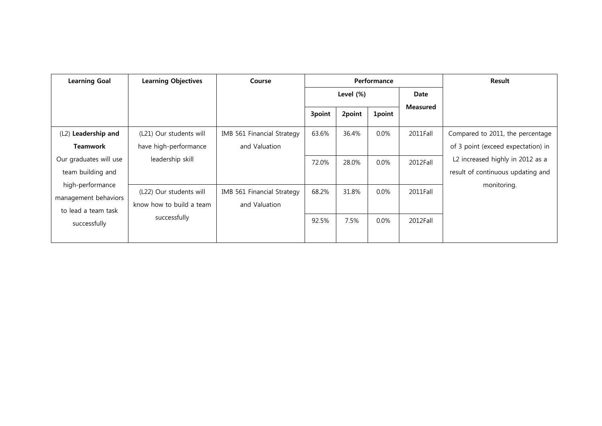| <b>Learning Goal</b>   | <b>Learning Objectives</b> | Course                     | Performance  |        |               |                 | Result                             |
|------------------------|----------------------------|----------------------------|--------------|--------|---------------|-----------------|------------------------------------|
|                        |                            |                            | Level $(\%)$ |        | Date          |                 |                                    |
|                        |                            |                            | 3point       | 2point | <b>1point</b> | <b>Measured</b> |                                    |
| (L2) Leadership and    | (L21) Our students will    | IMB 561 Financial Strategy | 63.6%        | 36.4%  | $0.0\%$       | 2011Fall        | Compared to 2011, the percentage   |
| <b>Teamwork</b>        | have high-performance      | and Valuation              |              |        |               |                 | of 3 point (exceed expectation) in |
| Our graduates will use | leadership skill           |                            | 72.0%        | 28.0%  | $0.0\%$       | 2012Fall        | L2 increased highly in 2012 as a   |
| team building and      |                            |                            |              |        |               |                 | result of continuous updating and  |
| high-performance       |                            |                            |              |        |               |                 | monitoring.                        |
| management behaviors   | (L22) Our students will    | IMB 561 Financial Strategy | 68.2%        | 31.8%  | $0.0\%$       | 2011Fall        |                                    |
| to lead a team task    | know how to build a team   | and Valuation              |              |        |               |                 |                                    |
| successfully           | successfully               |                            | 92.5%        | 7.5%   | $0.0\%$       | 2012Fall        |                                    |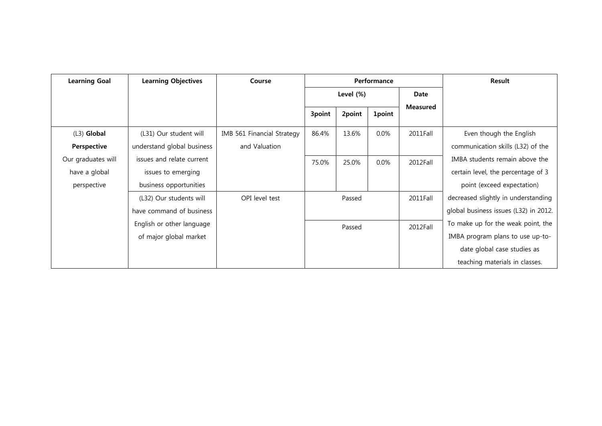| <b>Learning Goal</b> | <b>Learning Objectives</b> | Course                     |           |        | Performance | Result          |                                       |
|----------------------|----------------------------|----------------------------|-----------|--------|-------------|-----------------|---------------------------------------|
|                      |                            |                            | Level (%) |        |             | Date            |                                       |
|                      |                            |                            | 3point    | 2point | 1point      | <b>Measured</b> |                                       |
| $(L3)$ Global        | (L31) Our student will     | IMB 561 Financial Strategy | 86.4%     | 13.6%  | $0.0\%$     | 2011Fall        | Even though the English               |
| Perspective          | understand global business | and Valuation              |           |        |             |                 | communication skills (L32) of the     |
| Our graduates will   | issues and relate current  |                            | 75.0%     | 25.0%  | $0.0\%$     | 2012Fall        | IMBA students remain above the        |
| have a global        | issues to emerging         |                            |           |        |             |                 | certain level, the percentage of 3    |
| perspective          | business opportunities     |                            |           |        |             |                 | point (exceed expectation)            |
|                      | (L32) Our students will    | OPI level test             |           | Passed |             | 2011Fall        | decreased slightly in understanding   |
|                      | have command of business   |                            |           |        |             |                 | global business issues (L32) in 2012. |
|                      | English or other language  |                            |           | Passed |             | 2012Fall        | To make up for the weak point, the    |
|                      | of major global market     |                            |           |        |             |                 | IMBA program plans to use up-to-      |
|                      |                            |                            |           |        |             |                 | date global case studies as           |
|                      |                            |                            |           |        |             |                 | teaching materials in classes.        |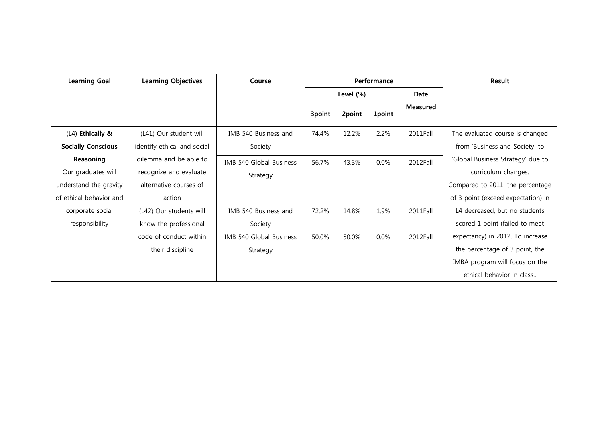| <b>Learning Goal</b>                          | <b>Learning Objectives</b>                            | Course                              | Performance |        |         | <b>Result</b> |                                                                   |
|-----------------------------------------------|-------------------------------------------------------|-------------------------------------|-------------|--------|---------|---------------|-------------------------------------------------------------------|
|                                               |                                                       |                                     | Level (%)   |        |         | Date          |                                                                   |
|                                               |                                                       |                                     | 3point      | 2point | 1point  | Measured      |                                                                   |
| (L4) Ethically &<br><b>Socially Conscious</b> | (L41) Our student will<br>identify ethical and social | IMB 540 Business and<br>Society     | 74.4%       | 12.2%  | 2.2%    | 2011Fall      | The evaluated course is changed<br>from 'Business and Society' to |
| Reasoning<br>Our graduates will               | dilemma and be able to<br>recognize and evaluate      | IMB 540 Global Business<br>Strategy | 56.7%       | 43.3%  | $0.0\%$ | 2012Fall      | 'Global Business Strategy' due to<br>curriculum changes.          |
| understand the gravity                        | alternative courses of                                |                                     |             |        |         |               | Compared to 2011, the percentage                                  |
| of ethical behavior and                       | action                                                |                                     |             |        |         |               | of 3 point (exceed expectation) in                                |
| corporate social                              | (L42) Our students will                               | IMB 540 Business and                | 72.2%       | 14.8%  | 1.9%    | 2011Fall      | L4 decreased, but no students                                     |
| responsibility                                | know the professional                                 | Society                             |             |        |         |               | scored 1 point (failed to meet                                    |
|                                               | code of conduct within                                | IMB 540 Global Business             | 50.0%       | 50.0%  | $0.0\%$ | 2012Fall      | expectancy) in 2012. To increase                                  |
|                                               | their discipline                                      | Strategy                            |             |        |         |               | the percentage of 3 point, the                                    |
|                                               |                                                       |                                     |             |        |         |               | IMBA program will focus on the                                    |
|                                               |                                                       |                                     |             |        |         |               | ethical behavior in class                                         |